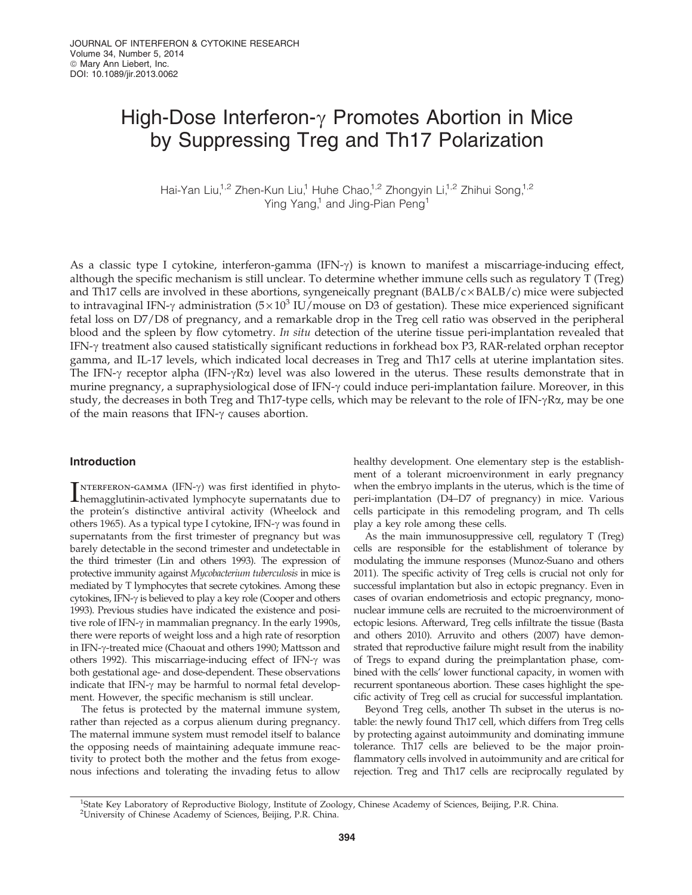# High-Dose Interferon- $\gamma$  Promotes Abortion in Mice by Suppressing Treg and Th17 Polarization

Hai-Yan Liu,<sup>1,2</sup> Zhen-Kun Liu,<sup>1</sup> Huhe Chao,<sup>1,2</sup> Zhongyin Li,<sup>1,2</sup> Zhihui Song,<sup>1,2</sup> Ying Yang,<sup>1</sup> and Jing-Pian Peng<sup>1</sup>

As a classic type I cytokine, interferon-gamma (IFN- $\gamma$ ) is known to manifest a miscarriage-inducing effect, although the specific mechanism is still unclear. To determine whether immune cells such as regulatory T (Treg) and Th17 cells are involved in these abortions, syngeneically pregnant  $(BALB/c \times BALB/c)$  mice were subjected to intravaginal IFN- $\gamma$  administration (5 × 10<sup>3</sup> IU/mouse on D3 of gestation). These mice experienced significant fetal loss on D7/D8 of pregnancy, and a remarkable drop in the Treg cell ratio was observed in the peripheral blood and the spleen by flow cytometry. In situ detection of the uterine tissue peri-implantation revealed that IFN-g treatment also caused statistically significant reductions in forkhead box P3, RAR-related orphan receptor gamma, and IL-17 levels, which indicated local decreases in Treg and Th17 cells at uterine implantation sites. The IFN- $\gamma$  receptor alpha (IFN- $\gamma$ R $\alpha$ ) level was also lowered in the uterus. These results demonstrate that in murine pregnancy, a supraphysiological dose of IFN-γ could induce peri-implantation failure. Moreover, in this study, the decreases in both Treg and Th17-type cells, which may be relevant to the role of IFN- $\gamma$ R $\alpha$ , may be one of the main reasons that IFN- $\gamma$  causes abortion.

## Introduction

 $\sum_{\text{hemagglutinin-activated lymphocyte supernatants due to}$  $\lceil$ NTERFERON-GAMMA (IFN- $\gamma$ ) was first identified in phytothe protein's distinctive antiviral activity (Wheelock and others 1965). As a typical type I cytokine, IFN- $\gamma$  was found in supernatants from the first trimester of pregnancy but was barely detectable in the second trimester and undetectable in the third trimester (Lin and others 1993). The expression of protective immunity against Mycobacterium tuberculosis in mice is mediated by T lymphocytes that secrete cytokines. Among these cytokines, IFN- $\gamma$  is believed to play a key role (Cooper and others 1993). Previous studies have indicated the existence and positive role of IFN- $\gamma$  in mammalian pregnancy. In the early 1990s, there were reports of weight loss and a high rate of resorption in IFN-g-treated mice (Chaouat and others 1990; Mattsson and others 1992). This miscarriage-inducing effect of IFN- $\gamma$  was both gestational age- and dose-dependent. These observations indicate that IFN- $\gamma$  may be harmful to normal fetal development. However, the specific mechanism is still unclear.

The fetus is protected by the maternal immune system, rather than rejected as a corpus alienum during pregnancy. The maternal immune system must remodel itself to balance the opposing needs of maintaining adequate immune reactivity to protect both the mother and the fetus from exogenous infections and tolerating the invading fetus to allow

healthy development. One elementary step is the establishment of a tolerant microenvironment in early pregnancy when the embryo implants in the uterus, which is the time of peri-implantation (D4–D7 of pregnancy) in mice. Various cells participate in this remodeling program, and Th cells play a key role among these cells.

As the main immunosuppressive cell, regulatory T (Treg) cells are responsible for the establishment of tolerance by modulating the immune responses (Munoz-Suano and others 2011). The specific activity of Treg cells is crucial not only for successful implantation but also in ectopic pregnancy. Even in cases of ovarian endometriosis and ectopic pregnancy, mononuclear immune cells are recruited to the microenvironment of ectopic lesions. Afterward, Treg cells infiltrate the tissue (Basta and others 2010). Arruvito and others (2007) have demonstrated that reproductive failure might result from the inability of Tregs to expand during the preimplantation phase, combined with the cells' lower functional capacity, in women with recurrent spontaneous abortion. These cases highlight the specific activity of Treg cell as crucial for successful implantation.

Beyond Treg cells, another Th subset in the uterus is notable: the newly found Th17 cell, which differs from Treg cells by protecting against autoimmunity and dominating immune tolerance. Th17 cells are believed to be the major proinflammatory cells involved in autoimmunity and are critical for rejection. Treg and Th17 cells are reciprocally regulated by

<sup>&</sup>lt;sup>1</sup>State Key Laboratory of Reproductive Biology, Institute of Zoology, Chinese Academy of Sciences, Beijing, P.R. China. 2 University of Chinese Academy of Sciences, Beijing, P.R. China.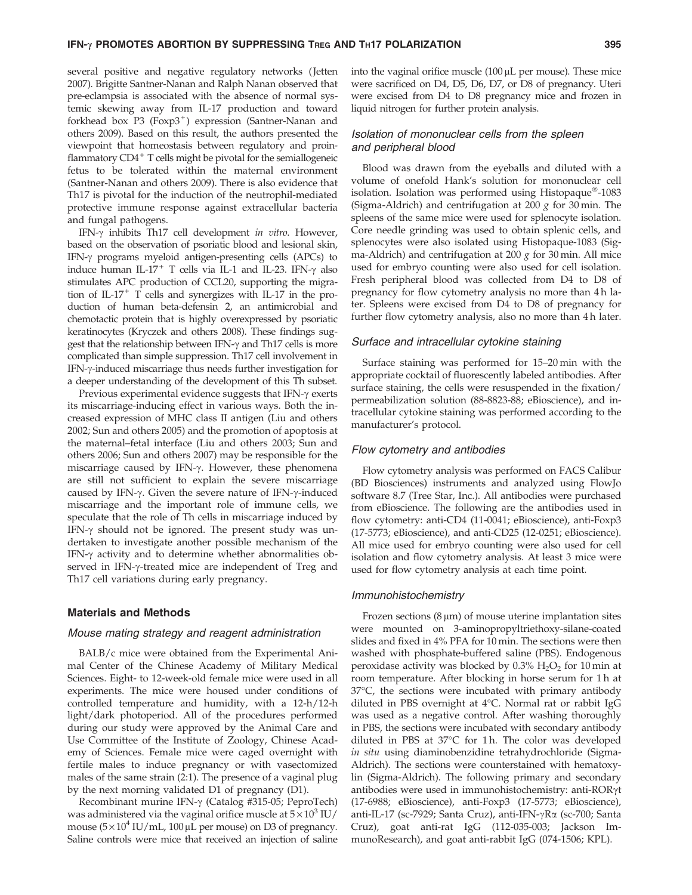several positive and negative regulatory networks ( Jetten 2007). Brigitte Santner-Nanan and Ralph Nanan observed that pre-eclampsia is associated with the absence of normal systemic skewing away from IL-17 production and toward forkhead box  $P3$  (Foxp $3^+$ ) expression (Santner-Nanan and others 2009). Based on this result, the authors presented the viewpoint that homeostasis between regulatory and proinflammatory  $CD4^+$  T cells might be pivotal for the semiallogeneic fetus to be tolerated within the maternal environment (Santner-Nanan and others 2009). There is also evidence that Th17 is pivotal for the induction of the neutrophil-mediated protective immune response against extracellular bacteria and fungal pathogens.

IFN- $\gamma$  inhibits Th17 cell development in vitro. However, based on the observation of psoriatic blood and lesional skin, IFN-g programs myeloid antigen-presenting cells (APCs) to induce human IL-17<sup>+</sup> T cells via IL-1 and IL-23. IFN- $\gamma$  also stimulates APC production of CCL20, supporting the migration of IL-17<sup>+</sup> T cells and synergizes with IL-17 in the production of human beta-defensin 2, an antimicrobial and chemotactic protein that is highly overexpressed by psoriatic keratinocytes (Kryczek and others 2008). These findings suggest that the relationship between IFN-g and Th17 cells is more complicated than simple suppression. Th17 cell involvement in IFN-g-induced miscarriage thus needs further investigation for a deeper understanding of the development of this Th subset.

Previous experimental evidence suggests that  $IFN-\gamma$  exerts its miscarriage-inducing effect in various ways. Both the increased expression of MHC class II antigen (Liu and others 2002; Sun and others 2005) and the promotion of apoptosis at the maternal–fetal interface (Liu and others 2003; Sun and others 2006; Sun and others 2007) may be responsible for the miscarriage caused by IFN- $\gamma$ . However, these phenomena are still not sufficient to explain the severe miscarriage caused by IFN- $\gamma$ . Given the severe nature of IFN- $\gamma$ -induced miscarriage and the important role of immune cells, we speculate that the role of Th cells in miscarriage induced by IFN- $\gamma$  should not be ignored. The present study was undertaken to investigate another possible mechanism of the IFN- $\gamma$  activity and to determine whether abnormalities observed in IFN- $\gamma$ -treated mice are independent of Treg and Th17 cell variations during early pregnancy.

#### Materials and Methods

#### Mouse mating strategy and reagent administration

BALB/c mice were obtained from the Experimental Animal Center of the Chinese Academy of Military Medical Sciences. Eight- to 12-week-old female mice were used in all experiments. The mice were housed under conditions of controlled temperature and humidity, with a 12-h/12-h light/dark photoperiod. All of the procedures performed during our study were approved by the Animal Care and Use Committee of the Institute of Zoology, Chinese Academy of Sciences. Female mice were caged overnight with fertile males to induce pregnancy or with vasectomized males of the same strain (2:1). The presence of a vaginal plug by the next morning validated D1 of pregnancy (D1).

Recombinant murine IFN-g (Catalog #315-05; PeproTech) was administered via the vaginal orifice muscle at  $5 \times 10^3$  IU/ mouse  $(5 \times 10^4 \text{ IU/mL}, 100 \mu \text{L per mouse})$  on D3 of pregnancy. Saline controls were mice that received an injection of saline into the vaginal orifice muscle  $(100 \mu L$  per mouse). These mice were sacrificed on D4, D5, D6, D7, or D8 of pregnancy. Uteri were excised from D4 to D8 pregnancy mice and frozen in liquid nitrogen for further protein analysis.

# Isolation of mononuclear cells from the spleen and peripheral blood

Blood was drawn from the eyeballs and diluted with a volume of onefold Hank's solution for mononuclear cell isolation. Isolation was performed using Histopaque®-1083 (Sigma-Aldrich) and centrifugation at 200  $g$  for 30 min. The spleens of the same mice were used for splenocyte isolation. Core needle grinding was used to obtain splenic cells, and splenocytes were also isolated using Histopaque-1083 (Sigma-Aldrich) and centrifugation at 200  $g$  for 30 min. All mice used for embryo counting were also used for cell isolation. Fresh peripheral blood was collected from D4 to D8 of pregnancy for flow cytometry analysis no more than 4 h later. Spleens were excised from D4 to D8 of pregnancy for further flow cytometry analysis, also no more than 4 h later.

#### Surface and intracellular cytokine staining

Surface staining was performed for 15–20 min with the appropriate cocktail of fluorescently labeled antibodies. After surface staining, the cells were resuspended in the fixation/ permeabilization solution (88-8823-88; eBioscience), and intracellular cytokine staining was performed according to the manufacturer's protocol.

#### Flow cytometry and antibodies

Flow cytometry analysis was performed on FACS Calibur (BD Biosciences) instruments and analyzed using FlowJo software 8.7 (Tree Star, Inc.). All antibodies were purchased from eBioscience. The following are the antibodies used in flow cytometry: anti-CD4 (11-0041; eBioscience), anti-Foxp3 (17-5773; eBioscience), and anti-CD25 (12-0251; eBioscience). All mice used for embryo counting were also used for cell isolation and flow cytometry analysis. At least 3 mice were used for flow cytometry analysis at each time point.

#### Immunohistochemistry

Frozen sections  $(8 \mu m)$  of mouse uterine implantation sites were mounted on 3-aminopropyltriethoxy-silane-coated slides and fixed in 4% PFA for 10 min. The sections were then washed with phosphate-buffered saline (PBS). Endogenous peroxidase activity was blocked by  $0.3\%$  H<sub>2</sub>O<sub>2</sub> for 10 min at room temperature. After blocking in horse serum for 1 h at  $37^{\circ}$ C, the sections were incubated with primary antibody diluted in PBS overnight at  $4^{\circ}$ C. Normal rat or rabbit IgG was used as a negative control. After washing thoroughly in PBS, the sections were incubated with secondary antibody diluted in PBS at 37°C for 1h. The color was developed in situ using diaminobenzidine tetrahydrochloride (Sigma-Aldrich). The sections were counterstained with hematoxylin (Sigma-Aldrich). The following primary and secondary antibodies were used in immunohistochemistry: anti-RORyt (17-6988; eBioscience), anti-Foxp3 (17-5773; eBioscience), anti-IL-17 (sc-7929; Santa Cruz), anti-IFN-γRα (sc-700; Santa Cruz), goat anti-rat IgG (112-035-003; Jackson ImmunoResearch), and goat anti-rabbit IgG (074-1506; KPL).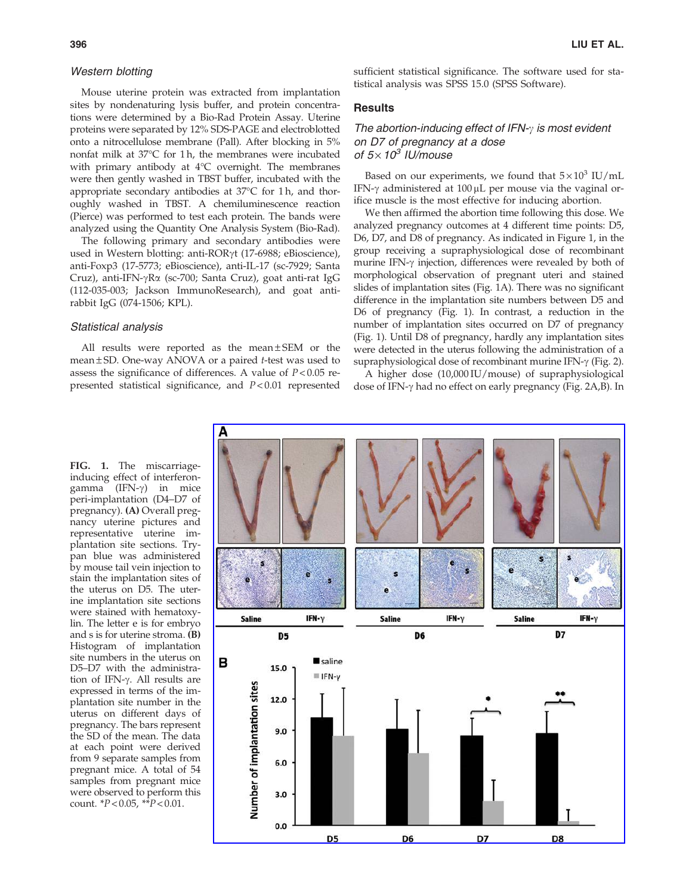## Western blotting

Mouse uterine protein was extracted from implantation sites by nondenaturing lysis buffer, and protein concentrations were determined by a Bio-Rad Protein Assay. Uterine proteins were separated by 12% SDS-PAGE and electroblotted onto a nitrocellulose membrane (Pall). After blocking in 5% nonfat milk at  $37^{\circ}$ C for 1 h, the membranes were incubated with primary antibody at  $4^{\circ}$ C overnight. The membranes were then gently washed in TBST buffer, incubated with the appropriate secondary antibodies at  $37^{\circ}$ C for 1h, and thoroughly washed in TBST. A chemiluminescence reaction (Pierce) was performed to test each protein. The bands were analyzed using the Quantity One Analysis System (Bio-Rad).

The following primary and secondary antibodies were used in Western blotting: anti-RORγt (17-6988; eBioscience), anti-Foxp3 (17-5773; eBioscience), anti-IL-17 (sc-7929; Santa Cruz), anti-IFN-gRa (sc-700; Santa Cruz), goat anti-rat IgG (112-035-003; Jackson ImmunoResearch), and goat antirabbit IgG (074-1506; KPL).

#### Statistical analysis

All results were reported as the mean $\pm$ SEM or the mean  $\pm$  SD. One-way ANOVA or a paired t-test was used to assess the significance of differences. A value of  $P < 0.05$  represented statistical significance, and  $P < 0.01$  represented sufficient statistical significance. The software used for statistical analysis was SPSS 15.0 (SPSS Software).

## **Results**

The abortion-inducing effect of IFN- $\gamma$  is most evident on D7 of pregnancy at a dose of  $5 \times 10^3$  IU/mouse

Based on our experiments, we found that  $5 \times 10^3$  IU/mL IFN- $\gamma$  administered at 100 µL per mouse via the vaginal orifice muscle is the most effective for inducing abortion.

We then affirmed the abortion time following this dose. We analyzed pregnancy outcomes at 4 different time points: D5, D6, D7, and D8 of pregnancy. As indicated in Figure 1, in the group receiving a supraphysiological dose of recombinant murine IFN- $\gamma$  injection, differences were revealed by both of morphological observation of pregnant uteri and stained slides of implantation sites (Fig. 1A). There was no significant difference in the implantation site numbers between D5 and D6 of pregnancy (Fig. 1). In contrast, a reduction in the number of implantation sites occurred on D7 of pregnancy (Fig. 1). Until D8 of pregnancy, hardly any implantation sites were detected in the uterus following the administration of a supraphysiological dose of recombinant murine IFN- $\gamma$  (Fig. 2).

A higher dose (10,000 IU/mouse) of supraphysiological dose of IFN-g had no effect on early pregnancy (Fig. 2A,B). In

FIG. 1. The miscarriageinducing effect of interferongamma (IFN- $\gamma$ ) in mice peri-implantation (D4–D7 of pregnancy). (A) Overall pregnancy uterine pictures and representative uterine implantation site sections. Trypan blue was administered by mouse tail vein injection to stain the implantation sites of the uterus on D5. The uterine implantation site sections were stained with hematoxylin. The letter e is for embryo and s is for uterine stroma. (B) Histogram of implantation site numbers in the uterus on D5–D7 with the administration of IFN-γ. All results are expressed in terms of the implantation site number in the uterus on different days of pregnancy. The bars represent the SD of the mean. The data at each point were derived from 9 separate samples from pregnant mice. A total of 54 samples from pregnant mice were observed to perform this count.  $*P < 0.05$ ,  $*^*P < 0.01$ .

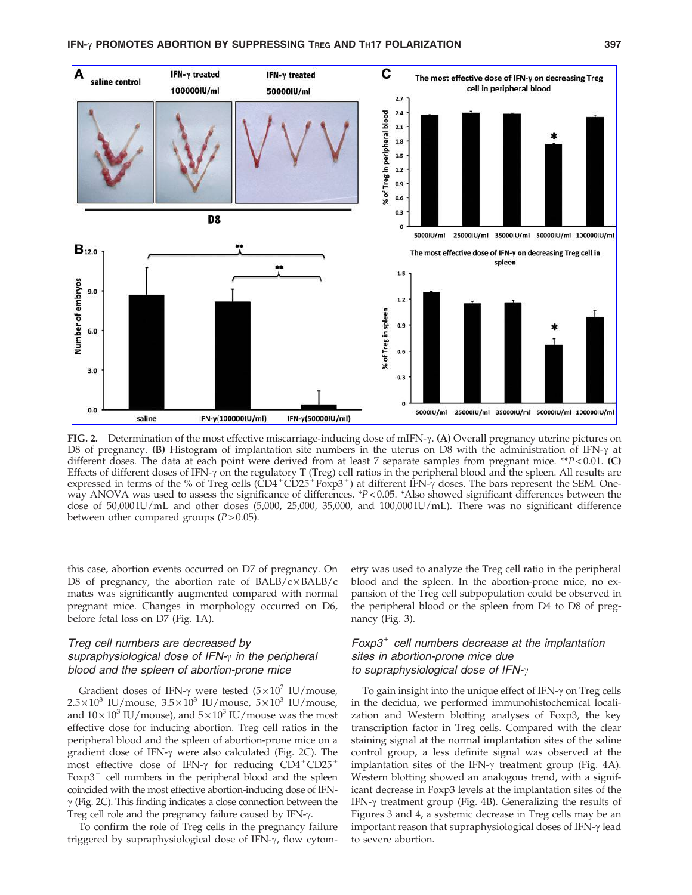

FIG. 2. Determination of the most effective miscarriage-inducing dose of mIFN- $\gamma$ . (A) Overall pregnancy uterine pictures on D8 of pregnancy. (B) Histogram of implantation site numbers in the uterus on D8 with the administration of IFN- $\gamma$  at different doses. The data at each point were derived from at least 7 separate samples from pregnant mice. \*\*P<0.01. (C) Effects of different doses of IFN- $\gamma$  on the regulatory T (Treg) cell ratios in the peripheral blood and the spleen. All results are expressed in terms of the % of Treg cells  $(\text{CD4}^+\text{CD25}^+\text{Foxp3}^+)$  at different IFN- $\gamma$  doses. The bars represent the SEM. Oneway ANOVA was used to assess the significance of differences.  $*P < 0.05$ .  $*$ Also showed significant differences between the dose of 50,000 IU/mL and other doses (5,000, 25,000, 35,000, and 100,000 IU/mL). There was no significant difference between other compared groups  $(P > 0.05)$ .

this case, abortion events occurred on D7 of pregnancy. On D8 of pregnancy, the abortion rate of  $BALB/c \times BALB/c$ mates was significantly augmented compared with normal pregnant mice. Changes in morphology occurred on D6, before fetal loss on D7 (Fig. 1A).

# Treg cell numbers are decreased by supraphysiological dose of IFN- $\gamma$  in the peripheral blood and the spleen of abortion-prone mice

Gradient doses of IFN- $\gamma$  were tested (5×10<sup>2</sup> IU/mouse,  $2.5 \times 10^3$  IU/mouse,  $3.5 \times 10^3$  IU/mouse,  $5 \times 10^3$  IU/mouse, and  $10 \times 10^3$  IU/mouse), and  $5 \times 10^3$  IU/mouse was the most effective dose for inducing abortion. Treg cell ratios in the peripheral blood and the spleen of abortion-prone mice on a gradient dose of IFN- $\gamma$  were also calculated (Fig. 2C). The most effective dose of IFN- $\gamma$  for reducing CD4<sup>+</sup>CD25<sup>+</sup> Foxp $3^+$  cell numbers in the peripheral blood and the spleen coincided with the most effective abortion-inducing dose of IFN- $\gamma$  (Fig. 2C). This finding indicates a close connection between the Treg cell role and the pregnancy failure caused by IFN- $\gamma$ .

To confirm the role of Treg cells in the pregnancy failure triggered by supraphysiological dose of IFN-g, flow cytometry was used to analyze the Treg cell ratio in the peripheral blood and the spleen. In the abortion-prone mice, no expansion of the Treg cell subpopulation could be observed in the peripheral blood or the spleen from D4 to D8 of pregnancy (Fig. 3).

# $F\alpha p3$ <sup>+</sup> cell numbers decrease at the implantation sites in abortion-prone mice due to supraphysiological dose of IFN- $\gamma$

To gain insight into the unique effect of IFN- $\gamma$  on Treg cells in the decidua, we performed immunohistochemical localization and Western blotting analyses of Foxp3, the key transcription factor in Treg cells. Compared with the clear staining signal at the normal implantation sites of the saline control group, a less definite signal was observed at the implantation sites of the IFN- $\gamma$  treatment group (Fig. 4A). Western blotting showed an analogous trend, with a significant decrease in Foxp3 levels at the implantation sites of the IFN- $\gamma$  treatment group (Fig. 4B). Generalizing the results of Figures 3 and 4, a systemic decrease in Treg cells may be an important reason that supraphysiological doses of IFN- $\gamma$  lead to severe abortion.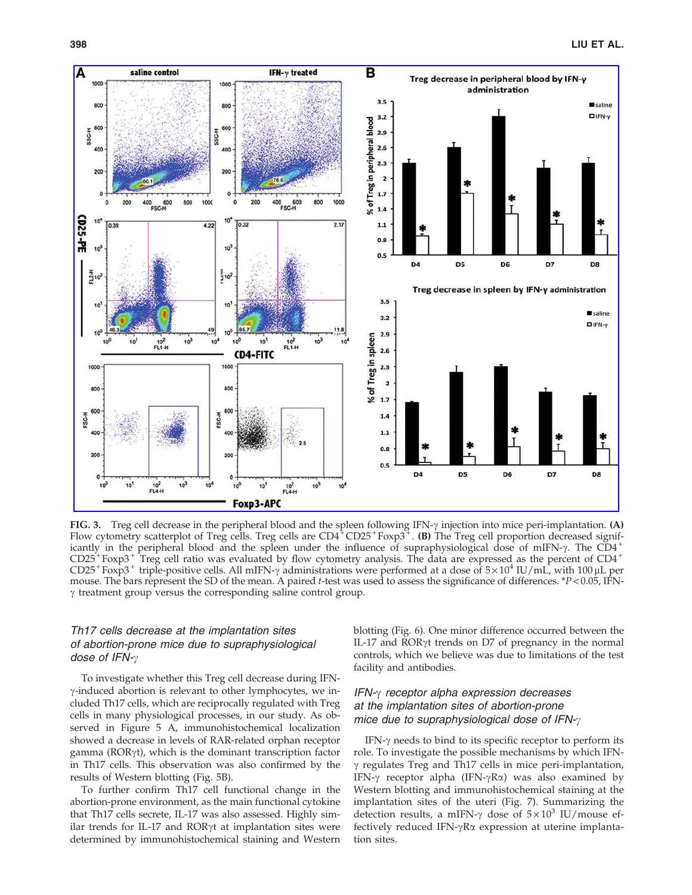

FIG. 3. Treg cell decrease in the peripheral blood and the spleen following IFN- $\gamma$  injection into mice peri-implantation. (A) Flow cytometry scatterplot of Treg cells. Treg cells are  $CD4^+CD25^+F\alpha p3^+$ . (B) The Treg cell proportion decreased significantly in the peripheral blood and the spleen under the influence of supraphysiological dose of mIFN- $\gamma$ . The CD4<sup>+</sup>  $CD25 + Foxp3 + True$  reg cell ratio was evaluated by flow cytometry analysis. The data are expressed as the percent of  $CD4 +$ CD25<sup>+</sup>Foxp3<sup>+</sup> triple-positive cells. All mIFN- $\gamma$  administrations were performed at a dose of  $5 \times 10^4$  IU/mL, with 100 µL per mouse. The bars represent the SD of the mean. A paired t-test was used to assess the significance of differences. \*P < 0.05, IFN- $\gamma$  treatment group versus the corresponding saline control group.

# Th17 cells decrease at the implantation sites of abortion-prone mice due to supraphysiological dose of IFN- $\gamma$

To investigate whether this Treg cell decrease during IFN- $\gamma$ -induced abortion is relevant to other lymphocytes, we included Th17 cells, which are reciprocally regulated with Treg cells in many physiological processes, in our study. As observed in Figure 5 A, immunohistochemical localization showed a decrease in levels of RAR-related orphan receptor gamma ( $ROR\gamma t$ ), which is the dominant transcription factor in Th17 cells. This observation was also confirmed by the results of Western blotting (Fig. 5B).

To further confirm Th17 cell functional change in the abortion-prone environment, as the main functional cytokine that Th17 cells secrete, IL-17 was also assessed. Highly similar trends for IL-17 and ROR $\gamma$ t at implantation sites were determined by immunohistochemical staining and Western blotting (Fig. 6). One minor difference occurred between the IL-17 and RORgt trends on D7 of pregnancy in the normal controls, which we believe was due to limitations of the test facility and antibodies.

## $IFN-\gamma$  receptor alpha expression decreases at the implantation sites of abortion-prone mice due to supraphysiological dose of  $IFN-\gamma$

IFN- $\gamma$  needs to bind to its specific receptor to perform its role. To investigate the possible mechanisms by which IFN- $\gamma$  regulates Treg and Th17 cells in mice peri-implantation, IFN- $\gamma$  receptor alpha (IFN- $\gamma$ R $\alpha$ ) was also examined by Western blotting and immunohistochemical staining at the implantation sites of the uteri (Fig. 7). Summarizing the detection results, a mIFN- $\gamma$  dose of  $5 \times 10^3$  IU/mouse effectively reduced IFN- $\gamma$ R $\alpha$  expression at uterine implantation sites.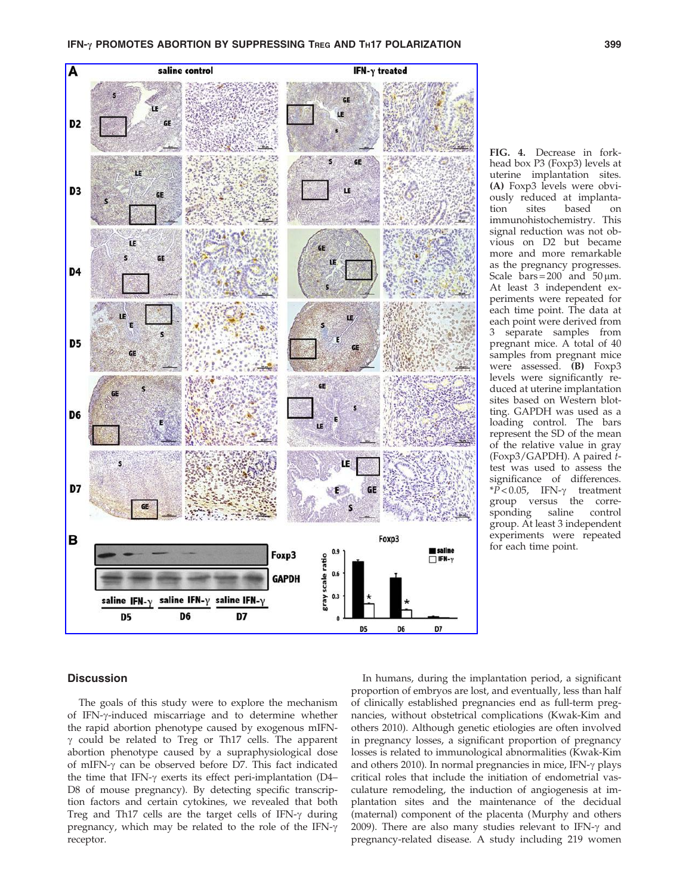## IFN-y PROMOTES ABORTION BY SUPPRESSING TREG AND TH17 POLARIZATION 399



head box P3 (Foxp3) levels at uterine implantation sites. (A) Foxp3 levels were obviously reduced at implantation sites based on immunohistochemistry. This signal reduction was not obvious on D2 but became more and more remarkable as the pregnancy progresses. Scale bars =  $200$  and  $50 \mu m$ . At least 3 independent experiments were repeated for each time point. The data at each point were derived from 3 separate samples from pregnant mice. A total of 40 samples from pregnant mice were assessed. (B) Foxp3 levels were significantly reduced at uterine implantation sites based on Western blotting. GAPDH was used as a loading control. The bars represent the SD of the mean of the relative value in gray (Foxp3/GAPDH). A paired ttest was used to assess the significance of differences.  $*\widetilde{P}$  < 0.05, IFN- $\gamma$  treatment group versus the corresponding saline control group. At least 3 independent experiments were repeated for each time point.

FIG. 4. Decrease in fork-

## **Discussion**

The goals of this study were to explore the mechanism of IFN-g-induced miscarriage and to determine whether the rapid abortion phenotype caused by exogenous mIFN- $\gamma$  could be related to Treg or Th17 cells. The apparent abortion phenotype caused by a supraphysiological dose of mIFN- $\gamma$  can be observed before D7. This fact indicated the time that IFN- $\gamma$  exerts its effect peri-implantation (D4– D8 of mouse pregnancy). By detecting specific transcription factors and certain cytokines, we revealed that both Treg and Th17 cells are the target cells of IFN- $\gamma$  during pregnancy, which may be related to the role of the IFN- $\gamma$ receptor.

In humans, during the implantation period, a significant proportion of embryos are lost, and eventually, less than half of clinically established pregnancies end as full-term pregnancies, without obstetrical complications (Kwak-Kim and others 2010). Although genetic etiologies are often involved in pregnancy losses, a significant proportion of pregnancy losses is related to immunological abnormalities (Kwak-Kim and others 2010). In normal pregnancies in mice, IFN- $\gamma$  plays critical roles that include the initiation of endometrial vasculature remodeling, the induction of angiogenesis at implantation sites and the maintenance of the decidual (maternal) component of the placenta (Murphy and others 2009). There are also many studies relevant to IFN- $\gamma$  and pregnancy-related disease. A study including 219 women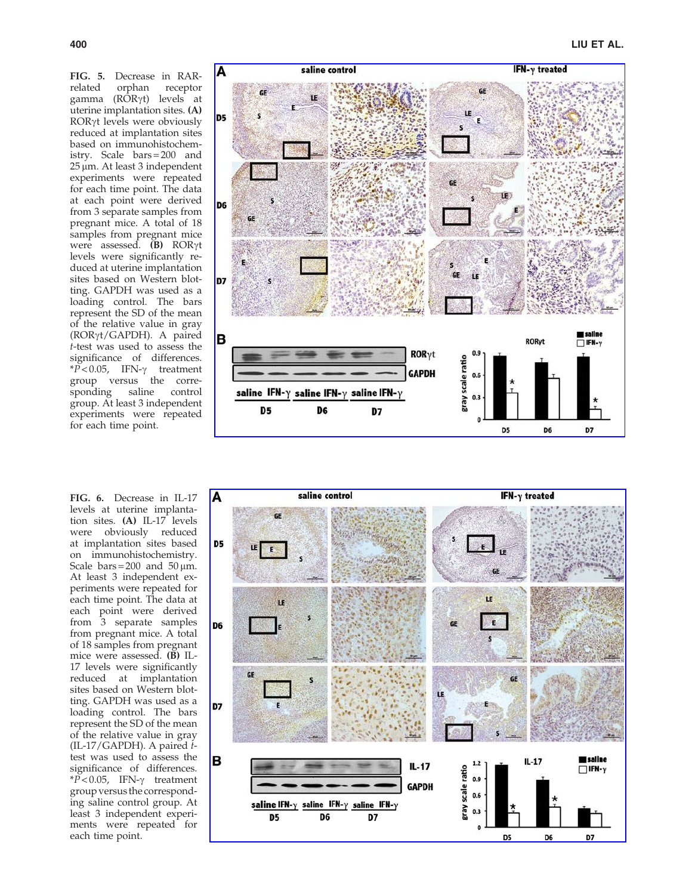FIG. 5. Decrease in RAR-<br>related orphan receptor related orphan receptor gamma (RORγt) levels at uterine implantation sites. (A) ROR<sub>Y</sub>t levels were obviously reduced at implantation sites based on immunohistochemistry. Scale bars = 200 and 25 mm. At least 3 independent experiments were repeated for each time point. The data at each point were derived from 3 separate samples from pregnant mice. A total of 18 samples from pregnant mice were assessed.  $(B)$  ROR $\gamma t$ levels were significantly reduced at uterine implantation sites based on Western blotting. GAPDH was used as a loading control. The bars represent the SD of the mean of the relative value in gray (ROR gt/GAPDH). A paired t-test was used to assess the significance of differences.  $*P < 0.05$ , IFN- $\gamma$  treatment group versus the corresponding saline control group. At least 3 independent experiments were repeated for each time point.



FIG. 6. Decrease in IL-17 levels at uterine implantation sites. (A) IL-17 levels were obviously reduced at implantation sites based on immunohistochemistry. Scale  $bars = 200$  and  $50 \mu m$ . At least 3 independent experiments were repeated for each time point. The data at each point were derived from 3 separate samples from pregnant mice. A total of 18 samples from pregnant mice were assessed. (B) IL-17 levels were significantly reduced at implantation sites based on Western blotting. GAPDH was used as a loading control. The bars represent the SD of the mean of the relative value in gray (IL-17/GAPDH). A paired t test was used to assess the significance of differences.  $*\tilde{P}$  < 0.05, IFN- $\gamma$  treatment group versus the corresponding saline control group. At least 3 independent experiments were repeated for each time point.

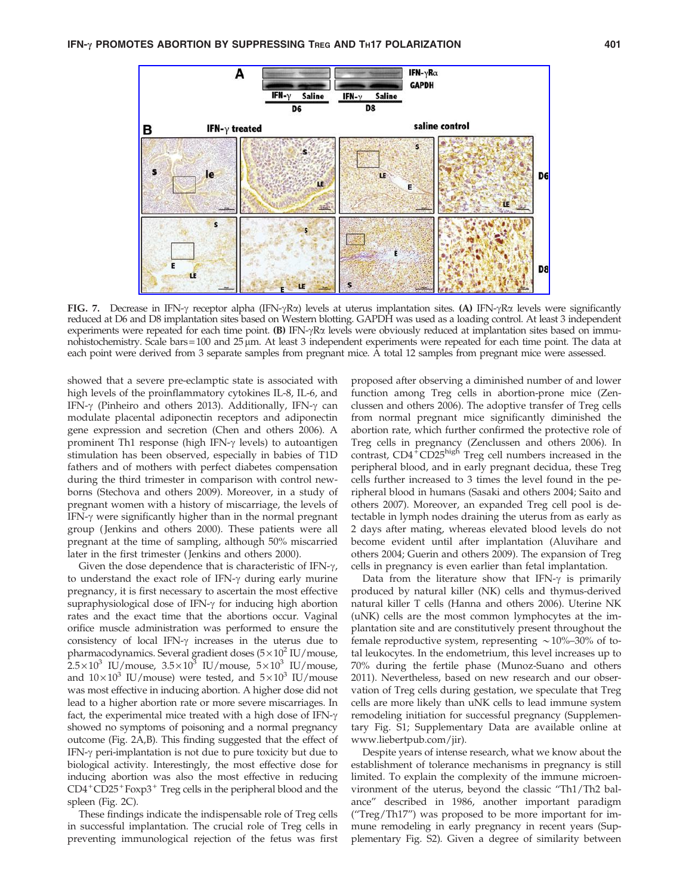

FIG. 7. Decrease in IFN- $\gamma$  receptor alpha (IFN- $\gamma$ R $\alpha$ ) levels at uterus implantation sites. (A) IFN- $\gamma$ R $\alpha$  levels were significantly reduced at D6 and D8 implantation sites based on Western blotting. GAPDH was used as a loading control. At least 3 independent experiments were repeated for each time point.  $(B)$  IFN- $\gamma$ R $\alpha$  levels were obviously reduced at implantation sites based on immunohistochemistry. Scale bars=100 and 25  $\mu$ m. At least 3 independent experiments were repeated for each time point. The data at each point were derived from 3 separate samples from pregnant mice. A total 12 samples from pregnant mice were assessed.

showed that a severe pre-eclamptic state is associated with high levels of the proinflammatory cytokines IL-8, IL-6, and IFN- $\gamma$  (Pinheiro and others 2013). Additionally, IFN- $\gamma$  can modulate placental adiponectin receptors and adiponectin gene expression and secretion (Chen and others 2006). A prominent Th1 response (high IFN- $\gamma$  levels) to autoantigen stimulation has been observed, especially in babies of T1D fathers and of mothers with perfect diabetes compensation during the third trimester in comparison with control newborns (Stechova and others 2009). Moreover, in a study of pregnant women with a history of miscarriage, the levels of IFN- $\gamma$  were significantly higher than in the normal pregnant group ( Jenkins and others 2000). These patients were all pregnant at the time of sampling, although 50% miscarried later in the first trimester ( Jenkins and others 2000).

Given the dose dependence that is characteristic of IFN- $\gamma$ , to understand the exact role of IFN- $\gamma$  during early murine pregnancy, it is first necessary to ascertain the most effective supraphysiological dose of IFN- $\gamma$  for inducing high abortion rates and the exact time that the abortions occur. Vaginal orifice muscle administration was performed to ensure the consistency of local IFN- $\gamma$  increases in the uterus due to pharmacodynamics. Several gradient doses  $(5 \times 10^2 \text{ IU/mouse})$  $2.5 \times 10^3$  IU/mouse,  $3.5 \times 10^3$  IU/mouse,  $5 \times 10^3$  IU/mouse, and  $10 \times 10^3$  IU/mouse) were tested, and  $5 \times 10^3$  IU/mouse was most effective in inducing abortion. A higher dose did not lead to a higher abortion rate or more severe miscarriages. In fact, the experimental mice treated with a high dose of IFN- $\gamma$ showed no symptoms of poisoning and a normal pregnancy outcome (Fig. 2A,B). This finding suggested that the effect of IFN-g peri-implantation is not due to pure toxicity but due to biological activity. Interestingly, the most effective dose for inducing abortion was also the most effective in reducing  $CD4^+CD25^+$  Foxp3<sup>+</sup> Treg cells in the peripheral blood and the spleen (Fig. 2C).

These findings indicate the indispensable role of Treg cells in successful implantation. The crucial role of Treg cells in preventing immunological rejection of the fetus was first

proposed after observing a diminished number of and lower function among Treg cells in abortion-prone mice (Zenclussen and others 2006). The adoptive transfer of Treg cells from normal pregnant mice significantly diminished the abortion rate, which further confirmed the protective role of Treg cells in pregnancy (Zenclussen and others 2006). In contrast,  $CD4 + CD25$ <sup>high</sup> Treg cell numbers increased in the peripheral blood, and in early pregnant decidua, these Treg cells further increased to 3 times the level found in the peripheral blood in humans (Sasaki and others 2004; Saito and others 2007). Moreover, an expanded Treg cell pool is detectable in lymph nodes draining the uterus from as early as 2 days after mating, whereas elevated blood levels do not become evident until after implantation (Aluvihare and others 2004; Guerin and others 2009). The expansion of Treg cells in pregnancy is even earlier than fetal implantation.

Data from the literature show that IFN- $\gamma$  is primarily produced by natural killer (NK) cells and thymus-derived natural killer T cells (Hanna and others 2006). Uterine NK (uNK) cells are the most common lymphocytes at the implantation site and are constitutively present throughout the female reproductive system, representing  $\sim$  10%–30% of total leukocytes. In the endometrium, this level increases up to 70% during the fertile phase (Munoz-Suano and others 2011). Nevertheless, based on new research and our observation of Treg cells during gestation, we speculate that Treg cells are more likely than uNK cells to lead immune system remodeling initiation for successful pregnancy (Supplementary Fig. S1; Supplementary Data are available online at www.liebertpub.com/jir).

Despite years of intense research, what we know about the establishment of tolerance mechanisms in pregnancy is still limited. To explain the complexity of the immune microenvironment of the uterus, beyond the classic ''Th1/Th2 balance'' described in 1986, another important paradigm (''Treg/Th17'') was proposed to be more important for immune remodeling in early pregnancy in recent years (Supplementary Fig. S2). Given a degree of similarity between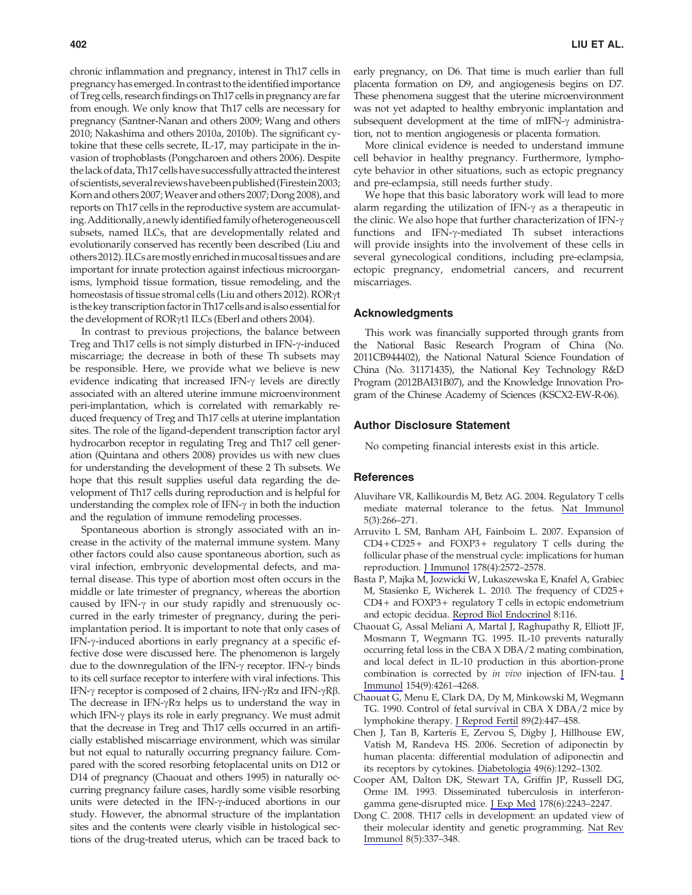chronic inflammation and pregnancy, interest in Th17 cells in pregnancy has emerged. In contrast to the identified importance of Treg cells, research findings on Th17 cells in pregnancy are far from enough. We only know that Th17 cells are necessary for pregnancy (Santner-Nanan and others 2009; Wang and others 2010; Nakashima and others 2010a, 2010b). The significant cytokine that these cells secrete, IL-17, may participate in the invasion of trophoblasts (Pongcharoen and others 2006). Despite the lack of data, Th17 cells have successfully attracted the interest ofscientists,several reviewshavebeenpublished (Firestein2003; Korn and others 2007;Weaver and others 2007; Dong 2008), and reports on Th17 cells in the reproductive system are accumulating.Additionally,anewlyidentified familyofheterogeneouscell subsets, named ILCs, that are developmentally related and evolutionarily conserved has recently been described (Liu and others 2012). ILCs aremostlyenrichedinmucosal tissues and are important for innate protection against infectious microorganisms, lymphoid tissue formation, tissue remodeling, and the homeostasis of tissue stromal cells (Liu and others 2012). RORγt is the key transcription factor in Th17 cells and is also essential for the development of RORγt1 ILCs (Eberl and others 2004).

In contrast to previous projections, the balance between Treg and Th17 cells is not simply disturbed in IFN- $\gamma$ -induced miscarriage; the decrease in both of these Th subsets may be responsible. Here, we provide what we believe is new evidence indicating that increased  $IFN-\gamma$  levels are directly associated with an altered uterine immune microenvironment peri-implantation, which is correlated with remarkably reduced frequency of Treg and Th17 cells at uterine implantation sites. The role of the ligand-dependent transcription factor aryl hydrocarbon receptor in regulating Treg and Th17 cell generation (Quintana and others 2008) provides us with new clues for understanding the development of these 2 Th subsets. We hope that this result supplies useful data regarding the development of Th17 cells during reproduction and is helpful for understanding the complex role of IFN- $\gamma$  in both the induction and the regulation of immune remodeling processes.

Spontaneous abortion is strongly associated with an increase in the activity of the maternal immune system. Many other factors could also cause spontaneous abortion, such as viral infection, embryonic developmental defects, and maternal disease. This type of abortion most often occurs in the middle or late trimester of pregnancy, whereas the abortion caused by IFN- $\gamma$  in our study rapidly and strenuously occurred in the early trimester of pregnancy, during the periimplantation period. It is important to note that only cases of IFN- $\gamma$ -induced abortions in early pregnancy at a specific effective dose were discussed here. The phenomenon is largely due to the downregulation of the IFN- $\gamma$  receptor. IFN- $\gamma$  binds to its cell surface receptor to interfere with viral infections. This IFN- $\gamma$  receptor is composed of 2 chains, IFN- $\gamma$ R $\alpha$  and IFN- $\gamma$ R $\beta$ . The decrease in IFN- $\gamma$ R $\alpha$  helps us to understand the way in which IFN- $\gamma$  plays its role in early pregnancy. We must admit that the decrease in Treg and Th17 cells occurred in an artificially established miscarriage environment, which was similar but not equal to naturally occurring pregnancy failure. Compared with the scored resorbing fetoplacental units on D12 or D14 of pregnancy (Chaouat and others 1995) in naturally occurring pregnancy failure cases, hardly some visible resorbing units were detected in the IFN-y-induced abortions in our study. However, the abnormal structure of the implantation sites and the contents were clearly visible in histological sections of the drug-treated uterus, which can be traced back to early pregnancy, on D6. That time is much earlier than full placenta formation on D9, and angiogenesis begins on D7. These phenomena suggest that the uterine microenvironment was not yet adapted to healthy embryonic implantation and subsequent development at the time of mIFN- $\gamma$  administration, not to mention angiogenesis or placenta formation.

More clinical evidence is needed to understand immune cell behavior in healthy pregnancy. Furthermore, lymphocyte behavior in other situations, such as ectopic pregnancy and pre-eclampsia, still needs further study.

We hope that this basic laboratory work will lead to more alarm regarding the utilization of IFN- $\gamma$  as a therapeutic in the clinic. We also hope that further characterization of IFN- $\gamma$ functions and IFN-g-mediated Th subset interactions will provide insights into the involvement of these cells in several gynecological conditions, including pre-eclampsia, ectopic pregnancy, endometrial cancers, and recurrent miscarriages.

## Acknowledgments

This work was financially supported through grants from the National Basic Research Program of China (No. 2011CB944402), the National Natural Science Foundation of China (No. 31171435), the National Key Technology R&D Program (2012BAI31B07), and the Knowledge Innovation Program of the Chinese Academy of Sciences (KSCX2-EW-R-06).

## Author Disclosure Statement

No competing financial interests exist in this article.

#### **References**

- Aluvihare VR, Kallikourdis M, Betz AG. 2004. Regulatory T cells mediate maternal tolerance to the fetus. [Nat Immunol](http://online.liebertpub.com/action/showLinks?pmid=14758358&crossref=10.1038%2Fni1037) 5(3):266–271.
- Arruvito L SM, Banham AH, Fainboim L. 2007. Expansion of  $CD4 + CD25 +$  and  $FOXP3 +$  regulatory T cells during the follicular phase of the menstrual cycle: implications for human reproduction. [J Immunol](http://online.liebertpub.com/action/showLinks?pmid=17277167&crossref=10.4049%2Fjimmunol.178.4.2572) 178(4):2572–2578.
- Basta P, Majka M, Jozwicki W, Lukaszewska E, Knafel A, Grabiec M, Stasienko E, Wicherek L. 2010. The frequency of CD25 + CD4 + and FOXP3 + regulatory T cells in ectopic endometrium and ectopic decidua. [Reprod Biol Endocrinol](http://online.liebertpub.com/action/showLinks?pmid=20923543&crossref=10.1186%2F1477-7827-8-116) 8:116.
- Chaouat G, Assal Meliani A, Martal J, Raghupathy R, Elliott JF, Mosmann T, Wegmann TG. 1995. IL-10 prevents naturally occurring fetal loss in the CBA X DBA/2 mating combination, and local defect in IL-10 production in this abortion-prone combination is corrected by in vivo injection of IFN-tau. [J](http://online.liebertpub.com/action/showLinks?pmid=7722286) [Immunol](http://online.liebertpub.com/action/showLinks?pmid=7722286) 154(9):4261–4268.
- Chaouat G, Menu E, Clark DA, Dy M, Minkowski M, Wegmann TG. 1990. Control of fetal survival in CBA X DBA/2 mice by lymphokine therapy. [J Reprod Fertil](http://online.liebertpub.com/action/showLinks?pmid=2119428&crossref=10.1530%2Fjrf.0.0890447) 89(2):447–458.
- Chen J, Tan B, Karteris E, Zervou S, Digby J, Hillhouse EW, Vatish M, Randeva HS. 2006. Secretion of adiponectin by human placenta: differential modulation of adiponectin and its receptors by cytokines. [Diabetologia](http://online.liebertpub.com/action/showLinks?pmid=16570162&crossref=10.1007%2Fs00125-006-0194-7) 49(6):1292–1302.
- Cooper AM, Dalton DK, Stewart TA, Griffin JP, Russell DG, Orme IM. 1993. Disseminated tuberculosis in interferongamma gene-disrupted mice. [J Exp Med](http://online.liebertpub.com/action/showLinks?pmid=8245795&crossref=10.1084%2Fjem.178.6.2243) 178(6):2243–2247.
- Dong C. 2008. TH17 cells in development: an updated view of their molecular identity and genetic programming. [Nat Rev](http://online.liebertpub.com/action/showLinks?pmid=18408735&crossref=10.1038%2Fnri2295) [Immunol](http://online.liebertpub.com/action/showLinks?pmid=18408735&crossref=10.1038%2Fnri2295) 8(5):337–348.